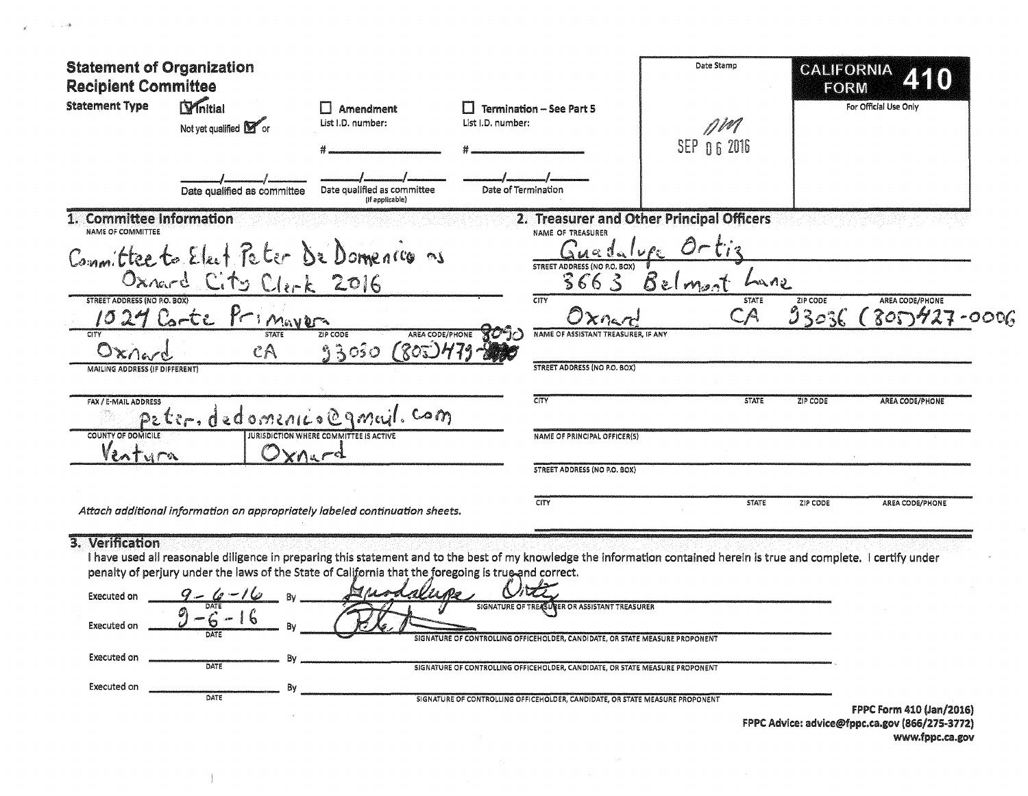| <b>Statement of Organization</b><br><b>Recipient Committee</b> |                                                             |                                                                                                      |                                                                                                                                                                                                                          | Date Stamp                                | <b>CALIFORNIA</b><br><b>FORM</b>   |
|----------------------------------------------------------------|-------------------------------------------------------------|------------------------------------------------------------------------------------------------------|--------------------------------------------------------------------------------------------------------------------------------------------------------------------------------------------------------------------------|-------------------------------------------|------------------------------------|
| <b>Statement Type</b>                                          | <b>D</b> <sup>nitial</sup><br>Not yet qualified <b>M</b> or | Amendment<br>List I.D. number:                                                                       | <b>Termination - See Part 5</b><br>List I.D. number:                                                                                                                                                                     | 7 P.V<br>SEP 06 2016                      | For Official Use Only              |
|                                                                | Date qualified as committee                                 | Date qualified as committee<br>(if applicable)                                                       | Date of Termination                                                                                                                                                                                                      |                                           |                                    |
| 1. Committee Information<br><b>NAME OF COMMITTEE</b>           |                                                             |                                                                                                      | NAME OF TREASURER                                                                                                                                                                                                        | 2. Treasurer and Other Principal Officers |                                    |
|                                                                |                                                             | Committee to Elect Peter De Domences as                                                              | $A \nabla$<br>STREET ADDRESS (NO P.O. BOX)<br>3663                                                                                                                                                                       | Belmont<br>في ام بانه                     |                                    |
| <b>STREET ADDRESS (NO P.O. BOX)</b>                            | Oxnard City Clerk 2016                                      |                                                                                                      | CITY                                                                                                                                                                                                                     | <b>STATE</b>                              | ZIP CODE<br><b>AREA CODE/PHONE</b> |
|                                                                | Primaver<br>$C_0$ -te                                       | <b>TP CODE</b><br><b>AREA CODE/PHONE</b>                                                             | $X$ nar<br>NAME OF ASSISTANT TREASURER, IF ANY                                                                                                                                                                           | $\mathbb C\mathbb A$                      | 33036<br>800427<br>$-OOO6$         |
| $O$ x $A$ ev                                                   | $c \wedge$                                                  | 802<br>93050                                                                                         |                                                                                                                                                                                                                          |                                           |                                    |
| MAILING ADDRESS (IF DIFFERENT)                                 |                                                             |                                                                                                      | STREET ADDRESS (NO P.O. BOX)                                                                                                                                                                                             |                                           |                                    |
| FAX / E-MAIL ADDRESS                                           |                                                             | peter. dedomenico@gmail. com                                                                         | CITY                                                                                                                                                                                                                     | <b>STATE</b>                              | ZIP CODE<br><b>AREA CODE/PHONE</b> |
| COUNTY OF DOMICILE<br>Ventura                                  |                                                             | <b>JURISDICTION WHERE COMMITTEE IS ACTIVE</b><br>$X \cap L \subset \mathbb{C}^d$                     | <b>NAME OF PRINCIPAL OFFICER(S)</b>                                                                                                                                                                                      |                                           |                                    |
|                                                                |                                                             |                                                                                                      | STREET ADDRESS (NO P.O. BOX)                                                                                                                                                                                             |                                           |                                    |
|                                                                |                                                             | Attach additional information on appropriately labeled continuation sheets.                          | <b>CITY</b>                                                                                                                                                                                                              | <b>STATE</b>                              | ZIP CODE<br>AREA CODE/PHONE        |
| 3. Verification<br><b>Executed on</b>                          |                                                             | penalty of perjury under the laws of the State of California that the foregoing is true and correct. | I have used all reasonable diligence in preparing this statement and to the best of my knowledge the information contained herein is true and complete. I certify under<br>SIGNATURE OF TREASURER OR ASSISTANT TREASURER |                                           |                                    |
| Executed on                                                    | $6 - 16$                                                    |                                                                                                      | SIGNATURE OF CONTROLLING OFFICEHOLDER, CANDIDATE, OR STATE MEASURE PROPONENT                                                                                                                                             |                                           |                                    |
| Executed on                                                    | Bν<br>DATE                                                  |                                                                                                      | SIGNATURE OF CONTROLLING OFFICEHOLDER, CANDIDATE, OR STATE MEASURE PROPONENT                                                                                                                                             |                                           |                                    |
| Executed on                                                    | Bv<br>DATE                                                  |                                                                                                      | SIGNATURE OF CONTROLLING OFFICEHOLDER, CANDIDATE, OR STATE MEASURE PROPONENT                                                                                                                                             |                                           |                                    |
|                                                                |                                                             |                                                                                                      |                                                                                                                                                                                                                          |                                           | FPPC Form 410 (Jan/2016)           |

 $\label{eq:4} \phi^{\prime}=-\frac{1}{2}\left(1-\frac{1}{2}\right)\frac{\partial\Phi}{\partial t},$ 

 $\pm 1$ 

FPPC Advice: advice@fppc.ca.gov (866/275-3772) www.fppc.ca.gov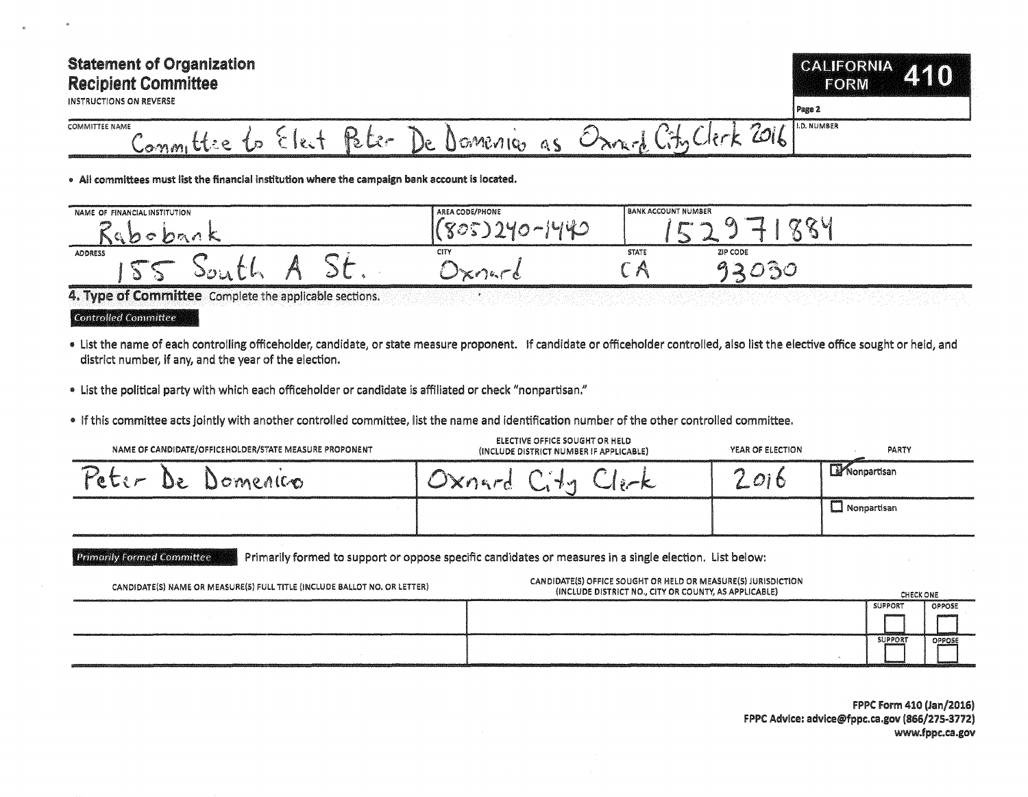## Statement of Organization Recipient Committee

INSTRUCTIONS ON REVERSE

## **CALIFORNIA** ZKIO) **FORM**

Page 2 **I.D. NUMBER** 

## COMMITTEE NAME Committie to Elect  $R$ ter Domenico as Orn-d City Clerk 2016

• All committees must list the financial institution where the campaign bank account is located.

| NAME OF FINANCIAL INSTITUTION |  | AREA CODE/PHONE | <b>BANK ACCOUNT NUMBER</b> |                    |
|-------------------------------|--|-----------------|----------------------------|--------------------|
|                               |  |                 | <b>Block of</b>            | <b>All Control</b> |
| <b>ADDRESS</b>                |  | CITY            | <b>STATE</b>               | ZIP CODE           |
| . Gui                         |  |                 | ۷m۰.                       |                    |

4. Type of Committee Complete the applicable sections.

Controlled Committee

- List the name of each controlling officeholder, candidate, or state measure proponent. If candidate or officeholder controlled, also list the elective office sought or held, and district number, if any, and the year of the election.
- "' List the political party with which each officeholder or candidate is affiliated or check "nonpartisan:'
- If this committee acts jointly with another controlled committee, list the name and identification number of the other controlled committee.

| NAME OF CANDIDATE/OFFICEHOLDER/STATE MEASURE PROPONENT | ELECTIVE OFFICE SOUGHT OR HELD<br>(INCLUDE DISTRICT NUMBER IF APPLICABLE) | YEAR OF ELECTION | PARTY          |
|--------------------------------------------------------|---------------------------------------------------------------------------|------------------|----------------|
| Domenico<br>De                                         |                                                                           | O <sub>i</sub>   | Monpartisan    |
|                                                        |                                                                           |                  | _] Nonpartisan |

Primarily Formed Committee Primarily formed to support or oppose specific candidates or measures in a single election. List below:

| CANDIDATE(S) NAME OR MEASURE(S) FULL TITLE (INCLUDE BALLOT NO. OR LETTER) | CANDIDATE(S) OFFICE SOUGHT OR HELD OR MEASURE(S) JURISDICTION<br>(INCLUDE DISTRICT NO., CITY OR COUNTY, AS APPLICABLE) | CHECK ONE      |               |
|---------------------------------------------------------------------------|------------------------------------------------------------------------------------------------------------------------|----------------|---------------|
|                                                                           |                                                                                                                        | <b>SUPPORT</b> | <b>OPPOSE</b> |
|                                                                           |                                                                                                                        |                |               |
|                                                                           |                                                                                                                        | <b>SUPPORT</b> | OPPOSE        |
|                                                                           |                                                                                                                        |                |               |

FPPC Form 410 (Jan/2016) FPPC Advice: advice@fppc.ca.gov (866/275-3772) www.fppc.ca.gov